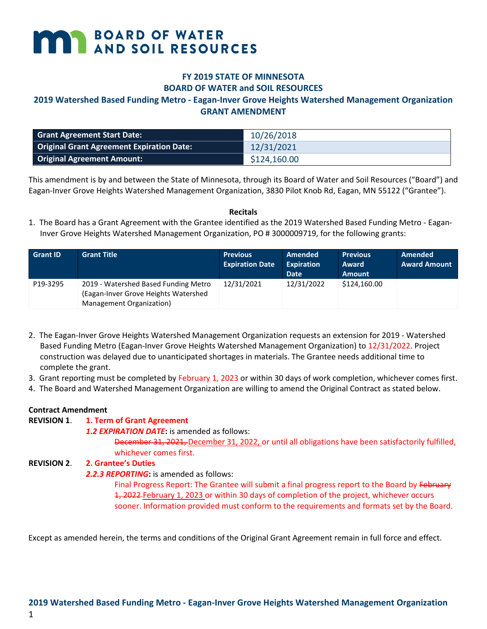# **MARY BOARD OF WATER**

# **FY 2019 STATE OF MINNESOTA BOARD OF WATER and SOIL RESOURCES**

## **2019 Watershed Based Funding Metro - Eagan-Inver Grove Heights Watershed Management Organization GRANT AMENDMENT**

| <b>Grant Agreement Start Date:</b>               | 10/26/2018   |
|--------------------------------------------------|--------------|
| <b>Original Grant Agreement Expiration Date:</b> | 12/31/2021   |
| <b>Original Agreement Amount:</b>                | \$124,160.00 |

This amendment is by and between the State of Minnesota, through its Board of Water and Soil Resources ("Board") and Eagan-Inver Grove Heights Watershed Management Organization, 3830 Pilot Knob Rd, Eagan, MN 55122 ("Grantee").

#### **Recitals**

1. The Board has a Grant Agreement with the Grantee identified as the 2019 Watershed Based Funding Metro - Eagan-Inver Grove Heights Watershed Management Organization, PO # 3000009719, for the following grants:

| <b>Grant ID</b> | <b>Grant Title</b>                                                                                       | <b>Previous</b><br><b>Expiration Date</b> | Amended<br><b>Expiration</b><br>Date | <b>Previous</b><br>Award<br><b>Amount</b> | Amended<br><b>Award Amount</b> |
|-----------------|----------------------------------------------------------------------------------------------------------|-------------------------------------------|--------------------------------------|-------------------------------------------|--------------------------------|
| P19-3295        | 2019 - Watershed Based Funding Metro<br>(Eagan-Inver Grove Heights Watershed<br>Management Organization) | 12/31/2021                                | 12/31/2022                           | \$124,160.00                              |                                |

- 2. The Eagan-Inver Grove Heights Watershed Management Organization requests an extension for 2019 Watershed Based Funding Metro (Eagan-Inver Grove Heights Watershed Management Organization) to 12/31/2022. Project construction was delayed due to unanticipated shortages in materials. The Grantee needs additional time to complete the grant.
- 3. Grant reporting must be completed by February 1, 2023 or within 30 days of work completion, whichever comes first.
- 4. The Board and Watershed Management Organization are willing to amend the Original Contract as stated below.

#### **Contract Amendment**

1

# **REVISION 1**. **1. Term of Grant Agreement**

*1.2 EXPIRATION DATE***:** is amended as follows:

December 31, 2021, December 31, 2022, or until all obligations have been satisfactorily fulfilled, whichever comes first.

#### **REVISION 2**. **2. Grantee's Duties**

# *2.2.3 REPORTING***:** is amended as follows:

Final Progress Report: The Grantee will submit a final progress report to the Board by February 1, 2022 February 1, 2023 or within 30 days of completion of the project, whichever occurs sooner. Information provided must conform to the requirements and formats set by the Board.

Except as amended herein, the terms and conditions of the Original Grant Agreement remain in full force and effect.